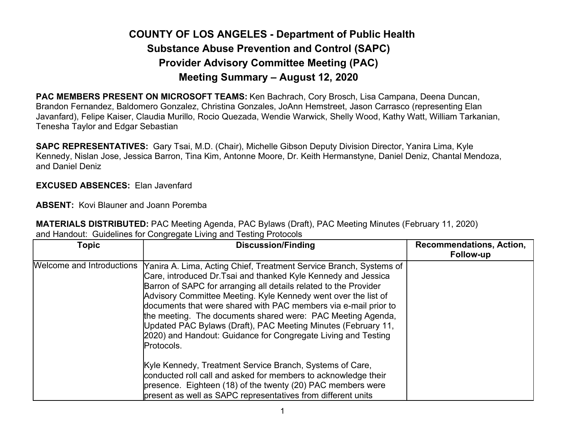## COUNTY OF LOS ANGELES - Department of Public Health Substance Abuse Prevention and Control (SAPC) Provider Advisory Committee Meeting (PAC) Meeting Summary – August 12, 2020

PAC MEMBERS PRESENT ON MICROSOFT TEAMS: Ken Bachrach, Cory Brosch, Lisa Campana, Deena Duncan, Brandon Fernandez, Baldomero Gonzalez, Christina Gonzales, JoAnn Hemstreet, Jason Carrasco (representing Elan Javanfard), Felipe Kaiser, Claudia Murillo, Rocio Quezada, Wendie Warwick, Shelly Wood, Kathy Watt, William Tarkanian, Tenesha Taylor and Edgar Sebastian

SAPC REPRESENTATIVES: Gary Tsai, M.D. (Chair), Michelle Gibson Deputy Division Director, Yanira Lima, Kyle Kennedy, Nislan Jose, Jessica Barron, Tina Kim, Antonne Moore, Dr. Keith Hermanstyne, Daniel Deniz, Chantal Mendoza, and Daniel Deniz

## EXCUSED ABSENCES: Elan Javenfard

ABSENT: Kovi Blauner and Joann Poremba

MATERIALS DISTRIBUTED: PAC Meeting Agenda, PAC Bylaws (Draft), PAC Meeting Minutes (February 11, 2020) and Handout: Guidelines for Congregate Living and Testing Protocols

| <b>Topic</b>              | <b>Discussion/Finding</b>                                                                                                                                                                                                                                                                                                                                                                                                                                                                                                                                    | <b>Recommendations, Action,</b><br>Follow-up |
|---------------------------|--------------------------------------------------------------------------------------------------------------------------------------------------------------------------------------------------------------------------------------------------------------------------------------------------------------------------------------------------------------------------------------------------------------------------------------------------------------------------------------------------------------------------------------------------------------|----------------------------------------------|
| Welcome and Introductions | Yanira A. Lima, Acting Chief, Treatment Service Branch, Systems of<br>Care, introduced Dr. Tsai and thanked Kyle Kennedy and Jessica<br>Barron of SAPC for arranging all details related to the Provider<br>Advisory Committee Meeting. Kyle Kennedy went over the list of<br>documents that were shared with PAC members via e-mail prior to<br>the meeting. The documents shared were: PAC Meeting Agenda,<br>Updated PAC Bylaws (Draft), PAC Meeting Minutes (February 11,<br>2020) and Handout: Guidance for Congregate Living and Testing<br>Protocols. |                                              |
|                           | Kyle Kennedy, Treatment Service Branch, Systems of Care,<br>conducted roll call and asked for members to acknowledge their<br>presence. Eighteen (18) of the twenty (20) PAC members were<br>present as well as SAPC representatives from different units                                                                                                                                                                                                                                                                                                    |                                              |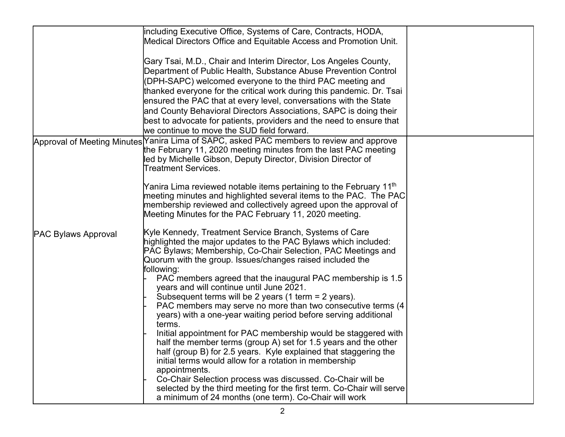|                            | including Executive Office, Systems of Care, Contracts, HODA,                                                                                               |  |
|----------------------------|-------------------------------------------------------------------------------------------------------------------------------------------------------------|--|
|                            | Medical Directors Office and Equitable Access and Promotion Unit.                                                                                           |  |
|                            |                                                                                                                                                             |  |
|                            | Gary Tsai, M.D., Chair and Interim Director, Los Angeles County,                                                                                            |  |
|                            | Department of Public Health, Substance Abuse Prevention Control                                                                                             |  |
|                            | (DPH-SAPC) welcomed everyone to the third PAC meeting and                                                                                                   |  |
|                            | thanked everyone for the critical work during this pandemic. Dr. Tsai                                                                                       |  |
|                            | ensured the PAC that at every level, conversations with the State                                                                                           |  |
|                            | and County Behavioral Directors Associations, SAPC is doing their                                                                                           |  |
|                            | best to advocate for patients, providers and the need to ensure that                                                                                        |  |
|                            | we continue to move the SUD field forward.                                                                                                                  |  |
|                            |                                                                                                                                                             |  |
|                            | Approval of Meeting Minutes Yanira Lima of SAPC, asked PAC members to review and approve<br>the February 11, 2020 meeting minutes from the last PAC meeting |  |
|                            | led by Michelle Gibson, Deputy Director, Division Director of                                                                                               |  |
|                            | <b>Treatment Services.</b>                                                                                                                                  |  |
|                            |                                                                                                                                                             |  |
|                            | Yanira Lima reviewed notable items pertaining to the February 11 <sup>th</sup>                                                                              |  |
|                            | meeting minutes and highlighted several items to the PAC. The PAC                                                                                           |  |
|                            | membership reviewed and collectively agreed upon the approval of                                                                                            |  |
|                            | Meeting Minutes for the PAC February 11, 2020 meeting.                                                                                                      |  |
|                            |                                                                                                                                                             |  |
| <b>PAC Bylaws Approval</b> | Kyle Kennedy, Treatment Service Branch, Systems of Care                                                                                                     |  |
|                            | highlighted the major updates to the PAC Bylaws which included:                                                                                             |  |
|                            | PAC Bylaws; Membership, Co-Chair Selection, PAC Meetings and                                                                                                |  |
|                            | Quorum with the group. Issues/changes raised included the                                                                                                   |  |
|                            | following:                                                                                                                                                  |  |
|                            | PAC members agreed that the inaugural PAC membership is 1.5                                                                                                 |  |
|                            | years and will continue until June 2021.                                                                                                                    |  |
|                            | Subsequent terms will be 2 years (1 term = 2 years).                                                                                                        |  |
|                            | PAC members may serve no more than two consecutive terms (4)                                                                                                |  |
|                            | years) with a one-year waiting period before serving additional                                                                                             |  |
|                            | terms.                                                                                                                                                      |  |
|                            | Initial appointment for PAC membership would be staggered with                                                                                              |  |
|                            | half the member terms (group A) set for 1.5 years and the other                                                                                             |  |
|                            | half (group B) for 2.5 years. Kyle explained that staggering the                                                                                            |  |
|                            | initial terms would allow for a rotation in membership                                                                                                      |  |
|                            | appointments.<br>Co-Chair Selection process was discussed. Co-Chair will be                                                                                 |  |
|                            | selected by the third meeting for the first term. Co-Chair will serve                                                                                       |  |
|                            | a minimum of 24 months (one term). Co-Chair will work                                                                                                       |  |
|                            |                                                                                                                                                             |  |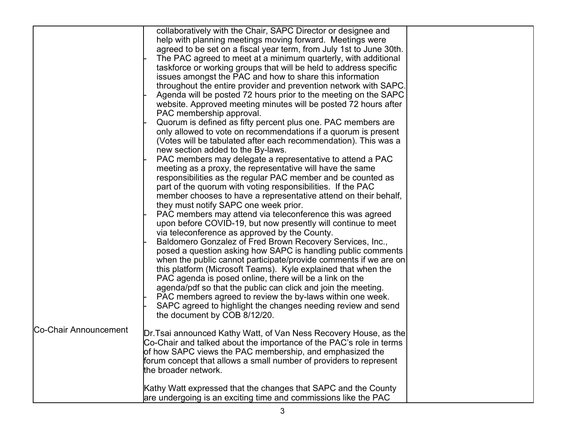|                       | collaboratively with the Chair, SAPC Director or designee and       |  |
|-----------------------|---------------------------------------------------------------------|--|
|                       | help with planning meetings moving forward. Meetings were           |  |
|                       | agreed to be set on a fiscal year term, from July 1st to June 30th. |  |
|                       | The PAC agreed to meet at a minimum quarterly, with additional      |  |
|                       | taskforce or working groups that will be held to address specific   |  |
|                       | issues amongst the PAC and how to share this information            |  |
|                       | throughout the entire provider and prevention network with SAPC.    |  |
|                       | Agenda will be posted 72 hours prior to the meeting on the SAPC     |  |
|                       | website. Approved meeting minutes will be posted 72 hours after     |  |
|                       | PAC membership approval.                                            |  |
|                       | Quorum is defined as fifty percent plus one. PAC members are        |  |
|                       | only allowed to vote on recommendations if a quorum is present      |  |
|                       | (Votes will be tabulated after each recommendation). This was a     |  |
|                       |                                                                     |  |
|                       | new section added to the By-laws.                                   |  |
|                       | PAC members may delegate a representative to attend a PAC           |  |
|                       | meeting as a proxy, the representative will have the same           |  |
|                       | responsibilities as the regular PAC member and be counted as        |  |
|                       | part of the quorum with voting responsibilities. If the PAC         |  |
|                       | member chooses to have a representative attend on their behalf,     |  |
|                       | they must notify SAPC one week prior.                               |  |
|                       | PAC members may attend via teleconference this was agreed           |  |
|                       | upon before COVID-19, but now presently will continue to meet       |  |
|                       | via teleconference as approved by the County.                       |  |
|                       | Baldomero Gonzalez of Fred Brown Recovery Services, Inc.,           |  |
|                       | posed a question asking how SAPC is handling public comments        |  |
|                       | when the public cannot participate/provide comments if we are on    |  |
|                       | this platform (Microsoft Teams). Kyle explained that when the       |  |
|                       | PAC agenda is posed online, there will be a link on the             |  |
|                       | agenda/pdf so that the public can click and join the meeting.       |  |
|                       | PAC members agreed to review the by-laws within one week.           |  |
|                       | SAPC agreed to highlight the changes needing review and send        |  |
|                       | the document by COB 8/12/20.                                        |  |
| Co-Chair Announcement |                                                                     |  |
|                       | Dr. Tsai announced Kathy Watt, of Van Ness Recovery House, as the   |  |
|                       | Co-Chair and talked about the importance of the PAC's role in terms |  |
|                       | of how SAPC views the PAC membership, and emphasized the            |  |
|                       | forum concept that allows a small number of providers to represent  |  |
|                       | the broader network.                                                |  |
|                       |                                                                     |  |
|                       | Kathy Watt expressed that the changes that SAPC and the County      |  |
|                       | are undergoing is an exciting time and commissions like the PAC     |  |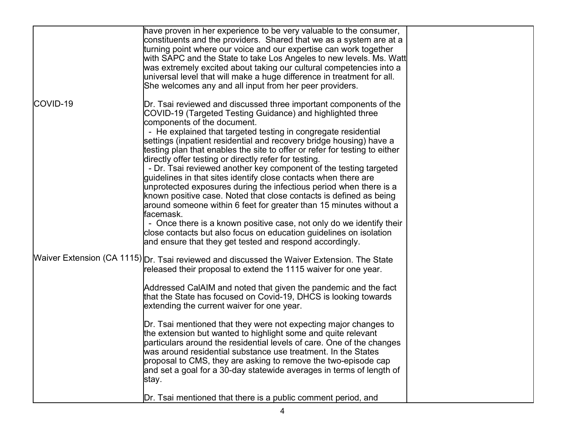|          | have proven in her experience to be very valuable to the consumer,<br>constituents and the providers. Shared that we as a system are at a<br>turning point where our voice and our expertise can work together<br>with SAPC and the State to take Los Angeles to new levels. Ms. Watt<br>was extremely excited about taking our cultural competencies into a<br>universal level that will make a huge difference in treatment for all.<br>She welcomes any and all input from her peer providers.                                                                                                                                                                                                                                                                                                                                                                                                                                                                                                                               |
|----------|---------------------------------------------------------------------------------------------------------------------------------------------------------------------------------------------------------------------------------------------------------------------------------------------------------------------------------------------------------------------------------------------------------------------------------------------------------------------------------------------------------------------------------------------------------------------------------------------------------------------------------------------------------------------------------------------------------------------------------------------------------------------------------------------------------------------------------------------------------------------------------------------------------------------------------------------------------------------------------------------------------------------------------|
| COVID-19 | Dr. Tsai reviewed and discussed three important components of the<br>COVID-19 (Targeted Testing Guidance) and highlighted three<br>components of the document.<br>- He explained that targeted testing in congregate residential<br>settings (inpatient residential and recovery bridge housing) have a<br>testing plan that enables the site to offer or refer for testing to either<br>directly offer testing or directly refer for testing.<br>- Dr. Tsai reviewed another key component of the testing targeted<br>guidelines in that sites identify close contacts when there are<br>unprotected exposures during the infectious period when there is a<br>known positive case. Noted that close contacts is defined as being<br>around someone within 6 feet for greater than 15 minutes without a<br>facemask.<br>- Once there is a known positive case, not only do we identify their<br>close contacts but also focus on education guidelines on isolation<br>and ensure that they get tested and respond accordingly. |
|          | Waiver Extension (CA 1115) Dr. Tsai reviewed and discussed the Waiver Extension. The State<br>released their proposal to extend the 1115 waiver for one year.<br>Addressed CalAIM and noted that given the pandemic and the fact<br>that the State has focused on Covid-19, DHCS is looking towards<br>extending the current waiver for one year.<br>Dr. Tsai mentioned that they were not expecting major changes to<br>the extension but wanted to highlight some and quite relevant<br>particulars around the residential levels of care. One of the changes<br>was around residential substance use treatment. In the States<br>proposal to CMS, they are asking to remove the two-episode cap<br>and set a goal for a 30-day statewide averages in terms of length of<br>stay.                                                                                                                                                                                                                                             |
|          | Dr. Tsai mentioned that there is a public comment period, and                                                                                                                                                                                                                                                                                                                                                                                                                                                                                                                                                                                                                                                                                                                                                                                                                                                                                                                                                                   |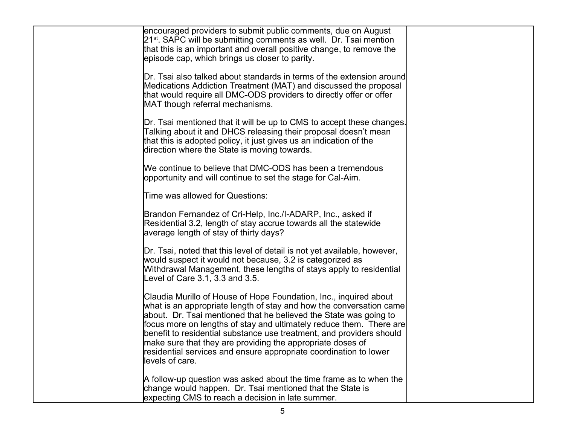| encouraged providers to submit public comments, due on August<br>21 <sup>st</sup> . SAPC will be submitting comments as well. Dr. Tsai mention<br>that this is an important and overall positive change, to remove the                                                                                                                                                                                                                                                                                             |  |
|--------------------------------------------------------------------------------------------------------------------------------------------------------------------------------------------------------------------------------------------------------------------------------------------------------------------------------------------------------------------------------------------------------------------------------------------------------------------------------------------------------------------|--|
| episode cap, which brings us closer to parity.                                                                                                                                                                                                                                                                                                                                                                                                                                                                     |  |
| $\mathsf{Dr}.$ Tsai also talked about standards in terms of the extension around<br>Medications Addiction Treatment (MAT) and discussed the proposal<br>that would require all DMC-ODS providers to directly offer or offer<br>MAT though referral mechanisms.                                                                                                                                                                                                                                                     |  |
| Dr. Tsai mentioned that it will be up to CMS to accept these changes.<br>Talking about it and DHCS releasing their proposal doesn't mean<br>that this is adopted policy, it just gives us an indication of the<br>direction where the State is moving towards.                                                                                                                                                                                                                                                     |  |
| We continue to believe that DMC-ODS has been a tremendous<br>opportunity and will continue to set the stage for Cal-Aim.                                                                                                                                                                                                                                                                                                                                                                                           |  |
| Time was allowed for Questions:                                                                                                                                                                                                                                                                                                                                                                                                                                                                                    |  |
| Brandon Fernandez of Cri-Help, Inc./I-ADARP, Inc., asked if<br>Residential 3.2, length of stay accrue towards all the statewide<br>average length of stay of thirty days?                                                                                                                                                                                                                                                                                                                                          |  |
| Dr. Tsai, noted that this level of detail is not yet available, however,<br>would suspect it would not because, 3.2 is categorized as<br>Withdrawal Management, these lengths of stays apply to residential<br>Level of Care 3.1, 3.3 and 3.5.                                                                                                                                                                                                                                                                     |  |
| Claudia Murillo of House of Hope Foundation, Inc., inquired about<br>what is an appropriate length of stay and how the conversation came<br>about. Dr. Tsai mentioned that he believed the State was going to<br>focus more on lengths of stay and ultimately reduce them. There are<br>benefit to residential substance use treatment, and providers should<br>make sure that they are providing the appropriate doses of<br>residential services and ensure appropriate coordination to lower<br>levels of care. |  |
| A follow-up question was asked about the time frame as to when the<br>change would happen. Dr. Tsai mentioned that the State is<br>expecting CMS to reach a decision in late summer.                                                                                                                                                                                                                                                                                                                               |  |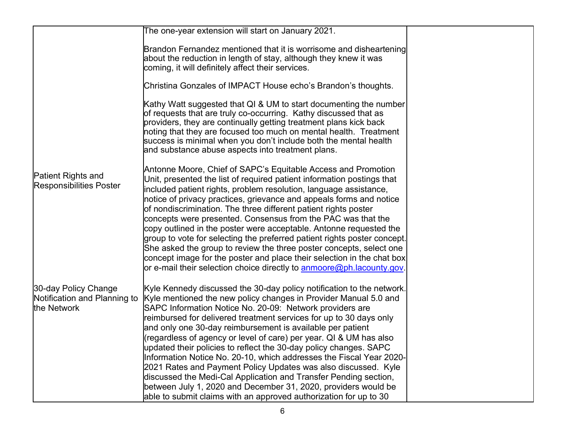|                                                                     | The one-year extension will start on January 2021.                                                                                                                                                                                                                                                                                                                                                                                                                                                                                                                                                                                                                                                                                                                                                                                       |  |
|---------------------------------------------------------------------|------------------------------------------------------------------------------------------------------------------------------------------------------------------------------------------------------------------------------------------------------------------------------------------------------------------------------------------------------------------------------------------------------------------------------------------------------------------------------------------------------------------------------------------------------------------------------------------------------------------------------------------------------------------------------------------------------------------------------------------------------------------------------------------------------------------------------------------|--|
|                                                                     | Brandon Fernandez mentioned that it is worrisome and disheartening<br>about the reduction in length of stay, although they knew it was<br>coming, it will definitely affect their services.                                                                                                                                                                                                                                                                                                                                                                                                                                                                                                                                                                                                                                              |  |
|                                                                     | Christina Gonzales of IMPACT House echo's Brandon's thoughts.                                                                                                                                                                                                                                                                                                                                                                                                                                                                                                                                                                                                                                                                                                                                                                            |  |
|                                                                     | Kathy Watt suggested that QI & UM to start documenting the number<br>of requests that are truly co-occurring. Kathy discussed that as<br>providers, they are continually getting treatment plans kick back<br>noting that they are focused too much on mental health. Treatment<br>success is minimal when you don't include both the mental health<br>and substance abuse aspects into treatment plans.                                                                                                                                                                                                                                                                                                                                                                                                                                 |  |
| <b>Patient Rights and</b><br><b>Responsibilities Poster</b>         | Antonne Moore, Chief of SAPC's Equitable Access and Promotion<br>Unit, presented the list of required patient information postings that<br>included patient rights, problem resolution, language assistance,<br>notice of privacy practices, grievance and appeals forms and notice<br>of nondiscrimination. The three different patient rights poster<br>concepts were presented. Consensus from the PAC was that the<br>copy outlined in the poster were acceptable. Antonne requested the<br>group to vote for selecting the preferred patient rights poster concept.<br>She asked the group to review the three poster concepts, select one<br>concept image for the poster and place their selection in the chat box<br>or e-mail their selection choice directly to <b>anmoore@ph.lacounty.gov.</b>                                |  |
| 30-day Policy Change<br>Notification and Planning to<br>the Network | Kyle Kennedy discussed the 30-day policy notification to the network.<br>Kyle mentioned the new policy changes in Provider Manual 5.0 and<br>SAPC Information Notice No. 20-09: Network providers are<br>reimbursed for delivered treatment services for up to 30 days only<br>and only one 30-day reimbursement is available per patient<br>(regardless of agency or level of care) per year. QI & UM has also<br>updated their policies to reflect the 30-day policy changes. SAPC<br>Information Notice No. 20-10, which addresses the Fiscal Year 2020-<br>2021 Rates and Payment Policy Updates was also discussed. Kyle<br>discussed the Medi-Cal Application and Transfer Pending section,<br>between July 1, 2020 and December 31, 2020, providers would be<br>able to submit claims with an approved authorization for up to 30 |  |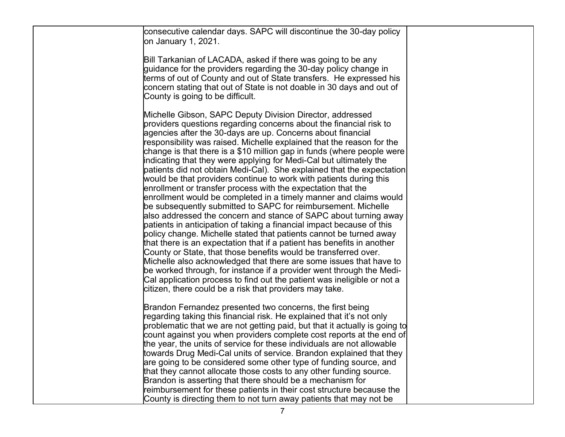| consecutive calendar days. SAPC will discontinue the 30-day policy<br>on January 1, 2021.                                                                                                                                                                                                                                                                                                                                                                                                                                                                                                                                                                                                                                                                                                                                                                                                                                                                                                                                                                                                                                                                                                                                                                                                                                                                                                                                        |  |
|----------------------------------------------------------------------------------------------------------------------------------------------------------------------------------------------------------------------------------------------------------------------------------------------------------------------------------------------------------------------------------------------------------------------------------------------------------------------------------------------------------------------------------------------------------------------------------------------------------------------------------------------------------------------------------------------------------------------------------------------------------------------------------------------------------------------------------------------------------------------------------------------------------------------------------------------------------------------------------------------------------------------------------------------------------------------------------------------------------------------------------------------------------------------------------------------------------------------------------------------------------------------------------------------------------------------------------------------------------------------------------------------------------------------------------|--|
| Bill Tarkanian of LACADA, asked if there was going to be any<br>guidance for the providers regarding the 30-day policy change in<br>terms of out of County and out of State transfers. He expressed his<br>concern stating that out of State is not doable in 30 days and out of<br>County is going to be difficult.                                                                                                                                                                                                                                                                                                                                                                                                                                                                                                                                                                                                                                                                                                                                                                                                                                                                                                                                                                                                                                                                                                             |  |
| Michelle Gibson, SAPC Deputy Division Director, addressed<br>providers questions regarding concerns about the financial risk to<br>agencies after the 30-days are up. Concerns about financial<br>responsibility was raised. Michelle explained that the reason for the<br>change is that there is a \$10 million gap in funds (where people were<br>indicating that they were applying for Medi-Cal but ultimately the<br>patients did not obtain Medi-Cal). She explained that the expectation<br>would be that providers continue to work with patients during this<br>enrollment or transfer process with the expectation that the<br>enrollment would be completed in a timely manner and claims would<br>be subsequently submitted to SAPC for reimbursement. Michelle<br>also addressed the concern and stance of SAPC about turning away<br>patients in anticipation of taking a financial impact because of this<br>policy change. Michelle stated that patients cannot be turned away<br>that there is an expectation that if a patient has benefits in another<br>County or State, that those benefits would be transferred over.<br>Michelle also acknowledged that there are some issues that have to<br>be worked through, for instance if a provider went through the Medi-<br>Cal application process to find out the patient was ineligible or not a<br>citizen, there could be a risk that providers may take. |  |
| Brandon Fernandez presented two concerns, the first being<br>regarding taking this financial risk. He explained that it's not only<br>problematic that we are not getting paid, but that it actually is going to<br>count against you when providers complete cost reports at the end of<br>the year, the units of service for these individuals are not allowable<br>towards Drug Medi-Cal units of service. Brandon explained that they<br>are going to be considered some other type of funding source, and<br>that they cannot allocate those costs to any other funding source.<br>Brandon is asserting that there should be a mechanism for<br>reimbursement for these patients in their cost structure because the<br>County is directing them to not turn away patients that may not be                                                                                                                                                                                                                                                                                                                                                                                                                                                                                                                                                                                                                                  |  |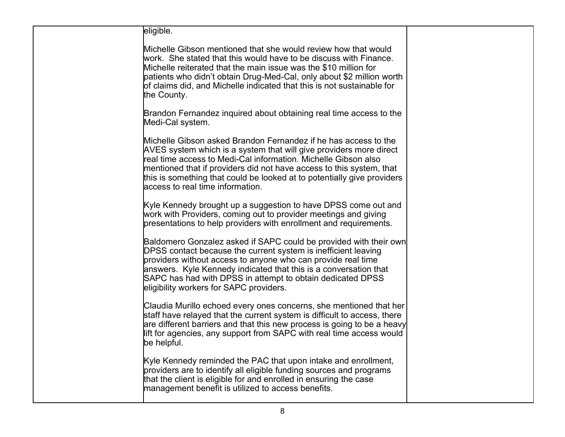| eligible.                                                                                                                                                                                                                                                                                                                                                                                       |  |
|-------------------------------------------------------------------------------------------------------------------------------------------------------------------------------------------------------------------------------------------------------------------------------------------------------------------------------------------------------------------------------------------------|--|
| Michelle Gibson mentioned that she would review how that would<br>work. She stated that this would have to be discuss with Finance.<br>Michelle reiterated that the main issue was the \$10 million for<br>patients who didn't obtain Drug-Med-Cal, only about \$2 million worth<br>of claims did, and Michelle indicated that this is not sustainable for<br>the County.                       |  |
| Brandon Fernandez inquired about obtaining real time access to the<br>Medi-Cal system.                                                                                                                                                                                                                                                                                                          |  |
| Michelle Gibson asked Brandon Fernandez if he has access to the<br>AVES system which is a system that will give providers more direct<br>real time access to Medi-Cal information. Michelle Gibson also<br>mentioned that if providers did not have access to this system, that<br>this is something that could be looked at to potentially give providers<br>laccess to real time information. |  |
| Kyle Kennedy brought up a suggestion to have DPSS come out and<br>work with Providers, coming out to provider meetings and giving<br>presentations to help providers with enrollment and requirements.                                                                                                                                                                                          |  |
| Baldomero Gonzalez asked if SAPC could be provided with their own<br>DPSS contact because the current system is inefficient leaving<br>providers without access to anyone who can provide real time<br>answers. Kyle Kennedy indicated that this is a conversation that<br>SAPC has had with DPSS in attempt to obtain dedicated DPSS<br>eligibility workers for SAPC providers.                |  |
| Claudia Murillo echoed every ones concerns, she mentioned that her<br>staff have relayed that the current system is difficult to access, there<br>are different barriers and that this new process is going to be a heavy<br>lift for agencies, any support from SAPC with real time access would<br>be helpful.                                                                                |  |
| Kyle Kennedy reminded the PAC that upon intake and enrollment,<br>providers are to identify all eligible funding sources and programs<br>that the client is eligible for and enrolled in ensuring the case<br>management benefit is utilized to access benefits.                                                                                                                                |  |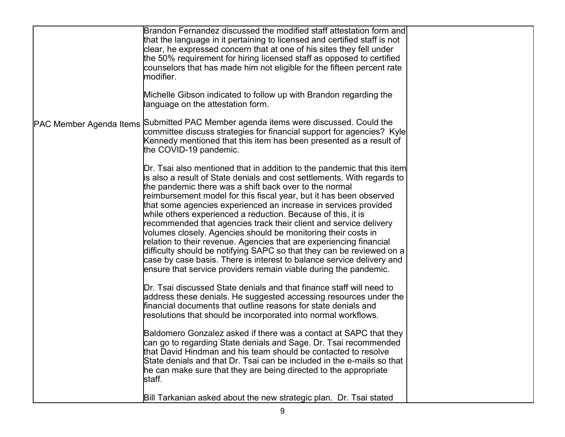|                                | Brandon Fernandez discussed the modified staff attestation form and<br>that the language in it pertaining to licensed and certified staff is not<br>clear, he expressed concern that at one of his sites they fell under<br>the 50% requirement for hiring licensed staff as opposed to certified                                                                                                                                                                                                                                                                                                                                                                                                                                                                                                                                                                |  |
|--------------------------------|------------------------------------------------------------------------------------------------------------------------------------------------------------------------------------------------------------------------------------------------------------------------------------------------------------------------------------------------------------------------------------------------------------------------------------------------------------------------------------------------------------------------------------------------------------------------------------------------------------------------------------------------------------------------------------------------------------------------------------------------------------------------------------------------------------------------------------------------------------------|--|
|                                | counselors that has made him not eligible for the fifteen percent rate<br>modifier.<br>Michelle Gibson indicated to follow up with Brandon regarding the                                                                                                                                                                                                                                                                                                                                                                                                                                                                                                                                                                                                                                                                                                         |  |
|                                | language on the attestation form.                                                                                                                                                                                                                                                                                                                                                                                                                                                                                                                                                                                                                                                                                                                                                                                                                                |  |
| <b>PAC Member Agenda Items</b> | Submitted PAC Member agenda items were discussed. Could the<br>committee discuss strategies for financial support for agencies? Kyle<br>Kennedy mentioned that this item has been presented as a result of<br>the COVID-19 pandemic.                                                                                                                                                                                                                                                                                                                                                                                                                                                                                                                                                                                                                             |  |
|                                | Dr. Tsai also mentioned that in addition to the pandemic that this item<br>is also a result of State denials and cost settlements. With regards to<br>the pandemic there was a shift back over to the normal<br>reimbursement model for this fiscal year, but it has been observed<br>that some agencies experienced an increase in services provided<br>while others experienced a reduction. Because of this, it is<br>recommended that agencies track their client and service delivery<br>volumes closely. Agencies should be monitoring their costs in<br>relation to their revenue. Agencies that are experiencing financial<br>$ $ difficulty should be notifying SAPC so that they can be reviewed on a $ $<br>case by case basis. There is interest to balance service delivery and<br>ensure that service providers remain viable during the pandemic. |  |
|                                | Dr. Tsai discussed State denials and that finance staff will need to<br>address these denials. He suggested accessing resources under the<br>ffinancial documents that outline reasons for state denials and<br>resolutions that should be incorporated into normal workflows.                                                                                                                                                                                                                                                                                                                                                                                                                                                                                                                                                                                   |  |
|                                | Baldomero Gonzalez asked if there was a contact at SAPC that they<br>can go to regarding State denials and Sage. Dr. Tsai recommended<br>that David Hindman and his team should be contacted to resolve<br>State denials and that Dr. Tsai can be included in the e-mails so that<br>he can make sure that they are being directed to the appropriate<br>staff.                                                                                                                                                                                                                                                                                                                                                                                                                                                                                                  |  |
|                                | Bill Tarkanian asked about the new strategic plan. Dr. Tsai stated                                                                                                                                                                                                                                                                                                                                                                                                                                                                                                                                                                                                                                                                                                                                                                                               |  |